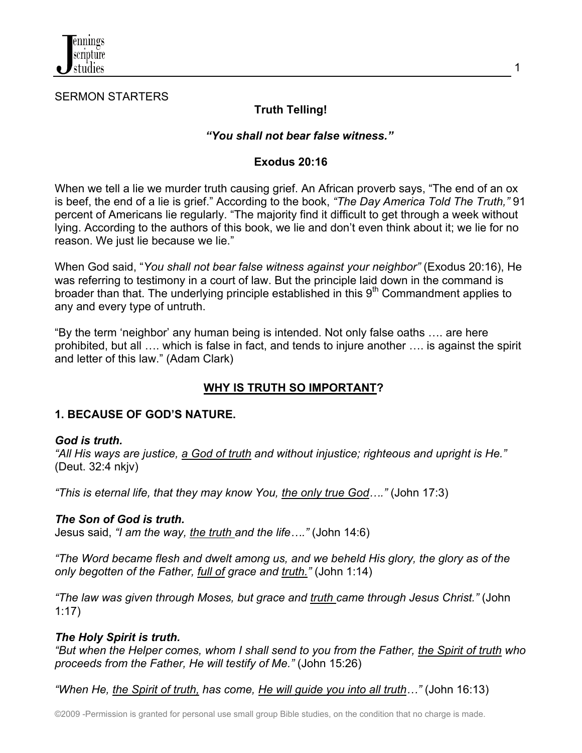

#### SERMON STARTERS

# **Truth Telling!**

### *"You shall not bear false witness."*

#### **Exodus 20:16**

When we tell a lie we murder truth causing grief. An African proverb says, "The end of an ox is beef, the end of a lie is grief." According to the book, *"The Day America Told The Truth,"* 91 percent of Americans lie regularly. "The majority find it difficult to get through a week without lying. According to the authors of this book, we lie and don't even think about it; we lie for no reason. We just lie because we lie."

When God said, "*You shall not bear false witness against your neighbor"* (Exodus 20:16), He was referring to testimony in a court of law. But the principle laid down in the command is broader than that. The underlying principle established in this  $9<sup>th</sup>$  Commandment applies to any and every type of untruth.

"By the term 'neighbor' any human being is intended. Not only false oaths …. are here prohibited, but all …. which is false in fact, and tends to injure another …. is against the spirit and letter of this law." (Adam Clark)

# **WHY IS TRUTH SO IMPORTANT?**

### **1. BECAUSE OF GOD'S NATURE.**

#### *God is truth.*

*"All His ways are justice, a God of truth and without injustice; righteous and upright is He."* (Deut. 32:4 nkjv)

*"This is eternal life, that they may know You, the only true God…."* (John 17:3)

#### *The Son of God is truth.*

Jesus said, *"I am the way, the truth and the life…."* (John 14:6)

*"The Word became flesh and dwelt among us, and we beheld His glory, the glory as of the only begotten of the Father, full of grace and truth."* (John 1:14)

*"The law was given through Moses, but grace and truth came through Jesus Christ."* (John 1:17)

### *The Holy Spirit is truth.*

*"But when the Helper comes, whom I shall send to you from the Father, the Spirit of truth who proceeds from the Father, He will testify of Me."* (John 15:26)

*"When He, the Spirit of truth, has come, He will guide you into all truth…"* (John 16:13)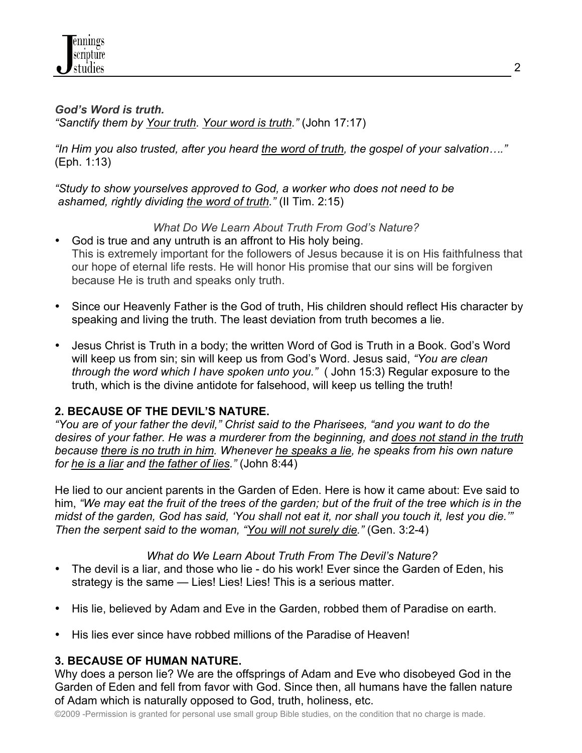

*God's Word is truth. "Sanctify them by Your truth. Your word is truth."* (John 17:17)

*"In Him you also trusted, after you heard the word of truth, the gospel of your salvation…."* (Eph. 1:13)

*"Study to show yourselves approved to God, a worker who does not need to be ashamed, rightly dividing the word of truth."* (II Tim. 2:15)

## *What Do We Learn About Truth From God's Nature?*

- God is true and any untruth is an affront to His holy being. This is extremely important for the followers of Jesus because it is on His faithfulness that our hope of eternal life rests. He will honor His promise that our sins will be forgiven because He is truth and speaks only truth.
- Since our Heavenly Father is the God of truth, His children should reflect His character by speaking and living the truth. The least deviation from truth becomes a lie.
- Jesus Christ is Truth in a body; the written Word of God is Truth in a Book. God's Word will keep us from sin; sin will keep us from God's Word. Jesus said, *"You are clean through the word which I have spoken unto you."* ( John 15:3) Regular exposure to the truth, which is the divine antidote for falsehood, will keep us telling the truth!

# **2. BECAUSE OF THE DEVIL'S NATURE.**

*"You are of your father the devil," Christ said to the Pharisees, "and you want to do the desires of your father. He was a murderer from the beginning, and does not stand in the truth because there is no truth in him. Whenever he speaks a lie, he speaks from his own nature for he is a liar and the father of lies."* (John 8:44)

He lied to our ancient parents in the Garden of Eden. Here is how it came about: Eve said to him, *"We may eat the fruit of the trees of the garden; but of the fruit of the tree which is in the midst of the garden, God has said, 'You shall not eat it, nor shall you touch it, lest you die.'" Then the serpent said to the woman, "You will not surely die."* (Gen. 3:2-4)

### *What do We Learn About Truth From The Devil's Nature?*

- The devil is a liar, and those who lie do his work! Ever since the Garden of Eden, his strategy is the same — Lies! Lies! Lies! This is a serious matter.
- His lie, believed by Adam and Eve in the Garden, robbed them of Paradise on earth.
- His lies ever since have robbed millions of the Paradise of Heaven!

### **3. BECAUSE OF HUMAN NATURE.**

Why does a person lie? We are the offsprings of Adam and Eve who disobeyed God in the Garden of Eden and fell from favor with God. Since then, all humans have the fallen nature of Adam which is naturally opposed to God, truth, holiness, etc.

©2009 -Permission is granted for personal use small group Bible studies, on the condition that no charge is made.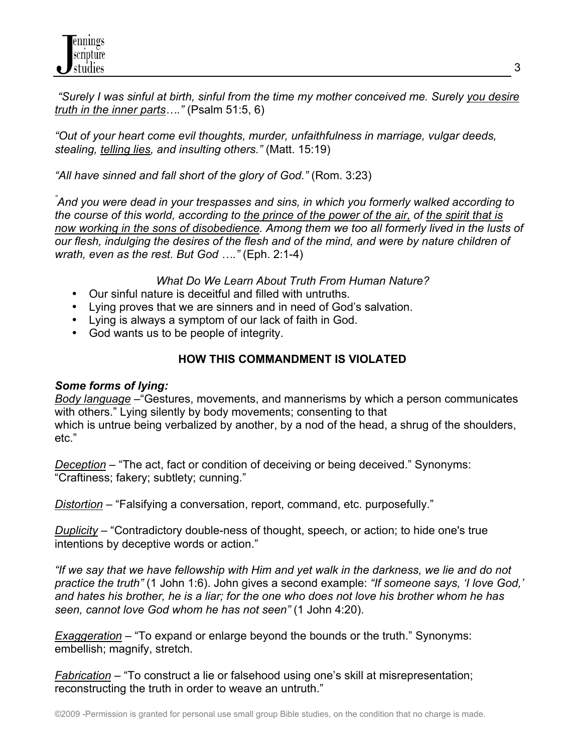*"Surely I was sinful at birth, sinful from the time my mother conceived me. Surely you desire truth in the inner parts…."* (Psalm 51:5, 6)

*"Out of your heart come evil thoughts, murder, unfaithfulness in marriage, vulgar deeds, stealing, telling lies, and insulting others."* (Matt. 15:19)

*"All have sinned and fall short of the glory of God."* (Rom. 3:23)

*" And you were dead in your trespasses and sins, in which you formerly walked according to the course of this world, according to the prince of the power of the air, of the spirit that is now working in the sons of disobedience. Among them we too all formerly lived in the lusts of our flesh, indulging the desires of the flesh and of the mind, and were by nature children of wrath, even as the rest. But God …."* (Eph. 2:1-4)

*What Do We Learn About Truth From Human Nature?*

- Our sinful nature is deceitful and filled with untruths.
- Lying proves that we are sinners and in need of God's salvation.
- Lying is always a symptom of our lack of faith in God.
- God wants us to be people of integrity.

# **HOW THIS COMMANDMENT IS VIOLATED**

# *Some forms of lying:*

*Body language* –"Gestures, movements, and mannerisms by which a person communicates with others." Lying silently by body movements; consenting to that which is untrue being verbalized by another, by a nod of the head, a shrug of the shoulders, etc."

*Deception* – "The act, fact or condition of deceiving or being deceived." Synonyms: "Craftiness; fakery; subtlety; cunning."

*Distortion* – "Falsifying a conversation, report, command, etc. purposefully."

*Duplicity* – "Contradictory double-ness of thought, speech, or action; to hide one's true intentions by deceptive words or action."

*"If we say that we have fellowship with Him and yet walk in the darkness, we lie and do not practice the truth"* (1 John 1:6). John gives a second example: *"If someone says, 'I love God,' and hates his brother, he is a liar; for the one who does not love his brother whom he has seen, cannot love God whom he has not seen"* (1 John 4:20).

*Exaggeration* – "To expand or enlarge beyond the bounds or the truth." Synonyms: embellish; magnify, stretch.

*Fabrication* – "To construct a lie or falsehood using one's skill at misrepresentation; reconstructing the truth in order to weave an untruth."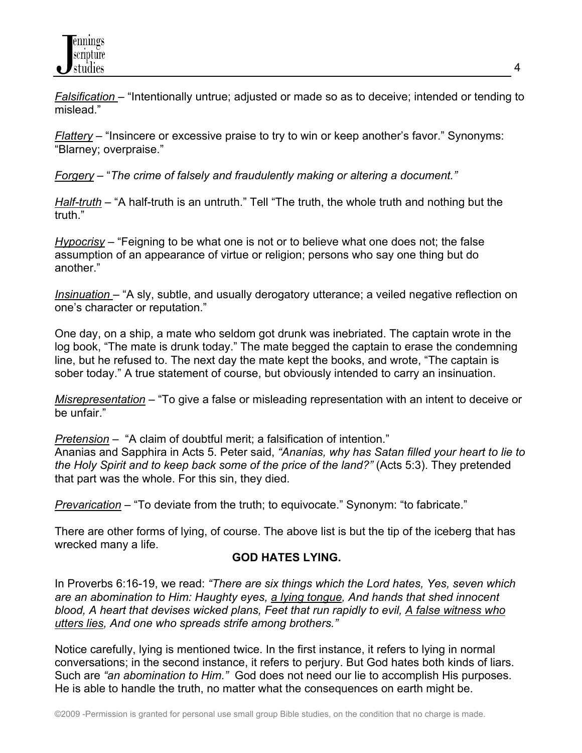*Falsification* – "Intentionally untrue; adjusted or made so as to deceive; intended or tending to mislead."

*Flattery* – "Insincere or excessive praise to try to win or keep another's favor." Synonyms: "Blarney; overpraise."

*Forgery* – "*The crime of falsely and fraudulently making or altering a document."*

*Half-truth* – "A half-truth is an untruth." Tell "The truth, the whole truth and nothing but the truth."

*Hypocrisy* – "Feigning to be what one is not or to believe what one does not; the false assumption of an appearance of virtue or religion; persons who say one thing but do another."

*Insinuation* – "A sly, subtle, and usually derogatory utterance; a veiled negative reflection on one's character or reputation."

One day, on a ship, a mate who seldom got drunk was inebriated. The captain wrote in the log book, "The mate is drunk today." The mate begged the captain to erase the condemning line, but he refused to. The next day the mate kept the books, and wrote, "The captain is sober today." A true statement of course, but obviously intended to carry an insinuation.

*Misrepresentation* – "To give a false or misleading representation with an intent to deceive or be unfair."

*Pretension* – "A claim of doubtful merit; a falsification of intention."

Ananias and Sapphira in Acts 5. Peter said, *"Ananias, why has Satan filled your heart to lie to the Holy Spirit and to keep back some of the price of the land?"* (Acts 5:3). They pretended that part was the whole. For this sin, they died.

*Prevarication* – "To deviate from the truth; to equivocate." Synonym: "to fabricate."

There are other forms of lying, of course. The above list is but the tip of the iceberg that has wrecked many a life.

# **GOD HATES LYING.**

In Proverbs 6:16-19, we read: *"There are six things which the Lord hates, Yes, seven which are an abomination to Him: Haughty eyes, a lying tongue, And hands that shed innocent blood, A heart that devises wicked plans, Feet that run rapidly to evil, A false witness who utters lies, And one who spreads strife among brothers."* 

Notice carefully, lying is mentioned twice. In the first instance, it refers to lying in normal conversations; in the second instance, it refers to perjury. But God hates both kinds of liars. Such are *"an abomination to Him."* God does not need our lie to accomplish His purposes. He is able to handle the truth, no matter what the consequences on earth might be.